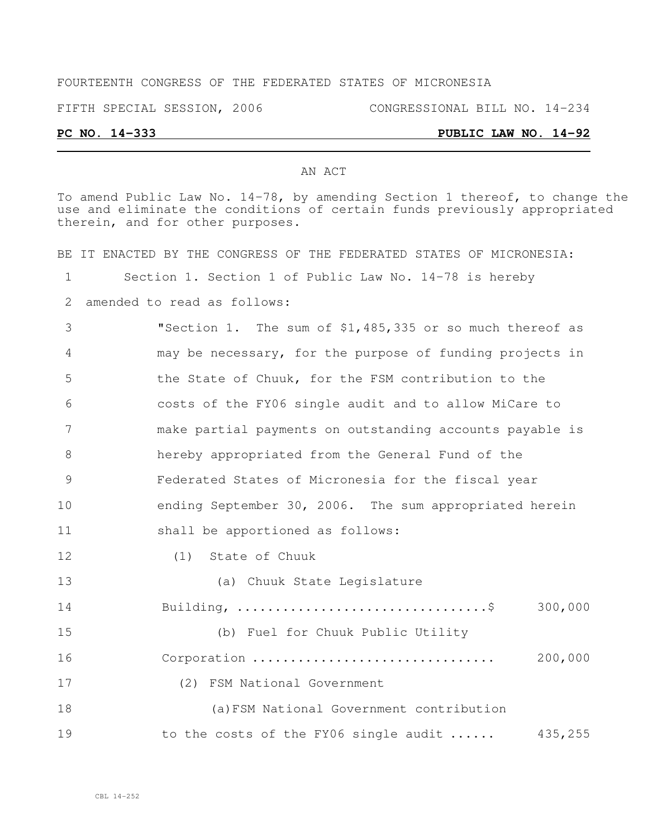### FOURTEENTH CONGRESS OF THE FEDERATED STATES OF MICRONESIA

FIFTH SPECIAL SESSION, 2006 CONGRESSIONAL BILL NO. 14-234

## **PC NO. 14-333 PUBLIC LAW NO. 14-92**

#### AN ACT

To amend Public Law No. 14-78, by amending Section 1 thereof, to change the use and eliminate the conditions of certain funds previously appropriated therein, and for other purposes.

BE IT ENACTED BY THE CONGRESS OF THE FEDERATED STATES OF MICRONESIA: Section 1. Section 1 of Public Law No. 14-78 is hereby amended to read as follows: "Section 1. The sum of \$1,485,335 or so much thereof as may be necessary, for the purpose of funding projects in the State of Chuuk, for the FSM contribution to the costs of the FY06 single audit and to allow MiCare to make partial payments on outstanding accounts payable is hereby appropriated from the General Fund of the Federated States of Micronesia for the fiscal year ending September 30, 2006. The sum appropriated herein shall be apportioned as follows: (1) State of Chuuk (a) Chuuk State Legislature Building, .................................\$ 300,000 (b) Fuel for Chuuk Public Utility Corporation ................................ 200,000 (2) FSM National Government

 (a)FSM National Government contribution 19 to the costs of the FY06 single audit ...... 435,255